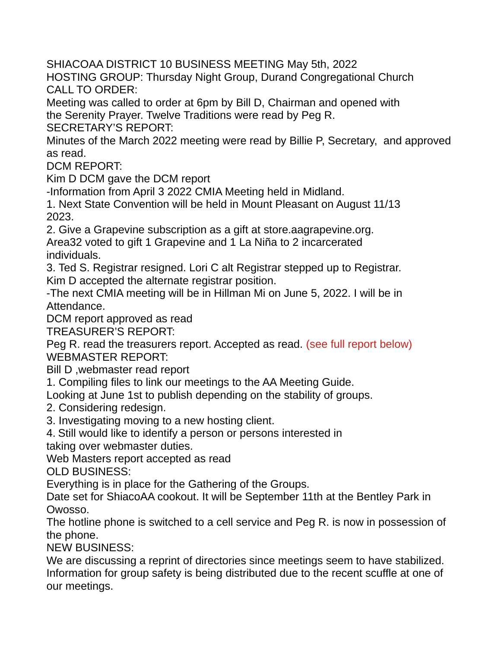SHIACOAA DISTRICT 10 BUSINESS MEETING May 5th, 2022

HOSTING GROUP: Thursday Night Group, Durand Congregational Church CALL TO ORDER:

Meeting was called to order at 6pm by Bill D, Chairman and opened with the Serenity Prayer. Twelve Traditions were read by Peg R.

SECRETARY'S REPORT:

Minutes of the March 2022 meeting were read by Billie P, Secretary, and approved as read.

DCM REPORT:

Kim D DCM gave the DCM report

-Information from April 3 2022 CMIA Meeting held in Midland.

1. Next State Convention will be held in Mount Pleasant on August 11/13 2023.

2. Give a Grapevine subscription as a gift at store.aagrapevine.org.

Area32 voted to gift 1 Grapevine and 1 La Niña to 2 incarcerated individuals.

3. Ted S. Registrar resigned. Lori C alt Registrar stepped up to Registrar. Kim D accepted the alternate registrar position.

-The next CMIA meeting will be in Hillman Mi on June 5, 2022. I will be in Attendance.

DCM report approved as read

TREASURER'S REPORT:

Peg R. read the treasurers report. Accepted as read. (see full report below) WEBMASTER REPORT:

Bill D ,webmaster read report

1. Compiling files to link our meetings to the AA Meeting Guide.

Looking at June 1st to publish depending on the stability of groups.

2. Considering redesign.

3. Investigating moving to a new hosting client.

4. Still would like to identify a person or persons interested in

taking over webmaster duties.

Web Masters report accepted as read

OLD BUSINESS:

Everything is in place for the Gathering of the Groups.

Date set for ShiacoAA cookout. It will be September 11th at the Bentley Park in Owosso.

The hotline phone is switched to a cell service and Peg R. is now in possession of the phone.

NEW BUSINESS:

We are discussing a reprint of directories since meetings seem to have stabilized. Information for group safety is being distributed due to the recent scuffle at one of our meetings.